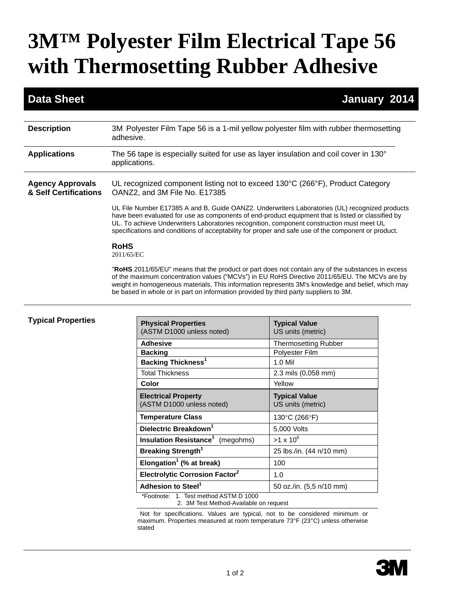# **3M™ Polyester Film Electrical Tape 56 with Thermosetting Rubber Adhesive**

### **Data Sheet January 2014**

| 3M Polyester Film Tape 56 is a 1-mil yellow polyester film with rubber thermosetting<br>adhesive.                                                                                                                                                                                                                                                                                                        |
|----------------------------------------------------------------------------------------------------------------------------------------------------------------------------------------------------------------------------------------------------------------------------------------------------------------------------------------------------------------------------------------------------------|
| The 56 tape is especially suited for use as layer insulation and coil cover in 130 $^{\circ}$<br>applications.                                                                                                                                                                                                                                                                                           |
| UL recognized component listing not to exceed 130°C (266°F), Product Category<br>OANZ2, and 3M File No. E17385                                                                                                                                                                                                                                                                                           |
| UL File Number E17385 A and B, Guide OANZ2. Underwriters Laboratories (UL) recognized products<br>have been evaluated for use as components of end-product equipment that is listed or classified by<br>UL. To achieve Underwriters Laboratories recognition, component construction must meet UL<br>specifications and conditions of acceptability for proper and safe use of the component or product. |
| <b>RoHS</b><br>2011/65/EC                                                                                                                                                                                                                                                                                                                                                                                |
| "RoHS 2011/65/EU" means that the product or part does not contain any of the substances in excess<br>of the maximum concentration values ("MCVs") in EU RoHS Directive 2011/65/EU. The MCVs are by<br>weight in homogeneous materials. This information represents 3M's knowledge and belief, which may<br>be based in whole or in part on information provided by third party suppliers to 3M.          |
|                                                                                                                                                                                                                                                                                                                                                                                                          |

#### **Typical Properties**

| <b>Physical Properties</b><br>(ASTM D1000 unless noted)                         | <b>Typical Value</b><br>US units (metric) |
|---------------------------------------------------------------------------------|-------------------------------------------|
| <b>Adhesive</b>                                                                 | <b>Thermosetting Rubber</b>               |
| <b>Backing</b>                                                                  | Polyester Film                            |
| Backing Thickness <sup>1</sup>                                                  | 1.0 Mil                                   |
| <b>Total Thickness</b>                                                          | 2.3 mils (0,058 mm)                       |
| Color                                                                           | Yellow                                    |
| <b>Electrical Property</b><br>(ASTM D1000 unless noted)                         | <b>Typical Value</b><br>US units (metric) |
| <b>Temperature Class</b>                                                        | 130°C (266°F)                             |
| Dielectric Breakdown <sup>1</sup>                                               | 5,000 Volts                               |
| <b>Insulation Resistance<sup>1</sup></b><br>(megohms)                           | $>1 \times 10^6$                          |
| Breaking Strength <sup>1</sup>                                                  | 25 lbs./in. (44 n/10 mm)                  |
| Elongation <sup>1</sup> (% at break)                                            | 100                                       |
| Electrolytic Corrosion Factor <sup>2</sup>                                      | 1.0                                       |
| Adhesion to Steel <sup>1</sup>                                                  | 50 oz./in. (5,5 n/10 mm)                  |
| *Footnote: 1. Test method ASTM D 1000<br>2. 3M Test Method-Available on request |                                           |

Not for specifications. Values are typical, not to be considered minimum or maximum. Properties measured at room temperature 73°F (23°C) unless otherwise stated